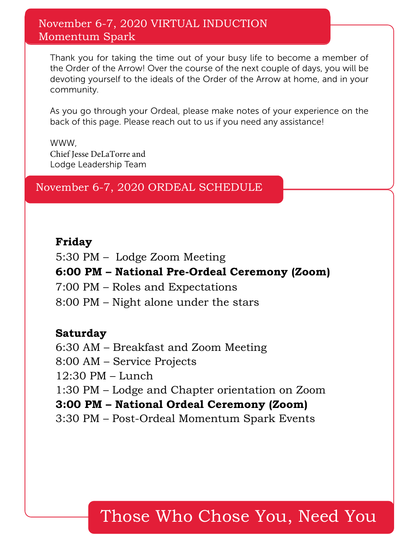### November 6-7, 2020 VIRTUAL INDUCTION Momentum Spark

Thank you for taking the time out of your busy life to become a member of the Order of the Arrow! Over the course of the next couple of days, you will be devoting yourself to the ideals of the Order of the Arrow at home, and in your community.

As you go through your Ordeal, please make notes of your experience on the back of this page. Please reach out to us if you need any assistance!

WWW, Chief Jesse DeLaTorre and Lodge Leadership Team

November 6-7, 2020 ORDEAL SCHEDULE

#### **Friday**

5:30 PM – Lodge Zoom Meeting

**6:00 PM – National Pre-Ordeal Ceremony (Zoom)**

7:00 PM – Roles and Expectations

8:00 PM – Night alone under the stars

### **Saturday**

6:30 AM – Breakfast and Zoom Meeting 8:00 AM – Service Projects 12:30 PM – Lunch 1:30 PM – Lodge and Chapter orientation on Zoom **3:00 PM – National Ordeal Ceremony (Zoom)** 3:30 PM – Post-Ordeal Momentum Spark Events

# Those Who Chose You, Need You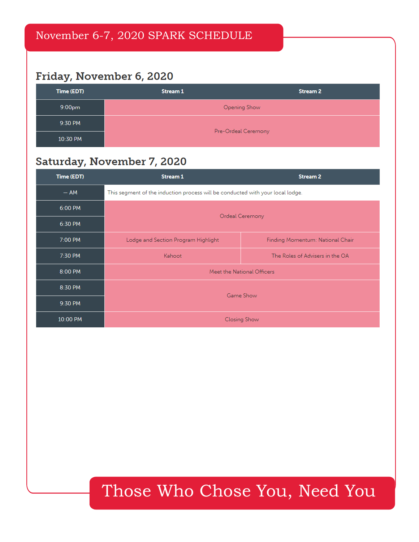## Friday, November 6, 2020

| Time (EDT)         | Stream 1            | <b>Stream 2</b> |
|--------------------|---------------------|-----------------|
| 9:00 <sub>pm</sub> | Opening Show        |                 |
| 9:30 PM            | Pre-Ordeal Ceremony |                 |
| 10:30 PM           |                     |                 |

### Saturday, November 7, 2020

| Time (EDT) | Stream 1                                                                       | <b>Stream 2</b>                  |
|------------|--------------------------------------------------------------------------------|----------------------------------|
| $- AM$     | This segment of the induction process will be conducted with your local lodge. |                                  |
| $6:00$ PM  | Ordeal Ceremony                                                                |                                  |
| 6:30 PM    |                                                                                |                                  |
| 7:00 PM    | Lodge and Section Program Highlight                                            | Finding Momentum: National Chair |
| 7:30 PM    | Kahoot                                                                         | The Roles of Advisers in the OA  |
| 8:00 PM    | Meet the National Officers                                                     |                                  |
| 8:30 PM    | Game Show                                                                      |                                  |
| 9:30 PM    |                                                                                |                                  |
| 10:00 PM   | <b>Closing Show</b>                                                            |                                  |

# Those Who Chose You, Need You